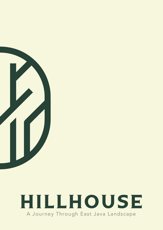

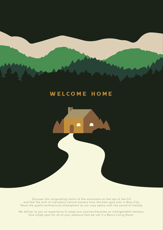#### WELCOME HOME



We deliver to you an experience to swap your journey becomes an unforgettable memory. One single spot for all of your pleasure that we call it a Batu's Living Room.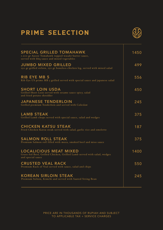# PRIME SELECTION



| <b>SPECIAL GRILLED TOMAHAWK</b><br>1.200 gr Aussie Tomahawk topped wasabi-butter sauce,<br>served with bbq sauce and mixed vegetables | 1450 |
|---------------------------------------------------------------------------------------------------------------------------------------|------|
| <b>JUMBO MIXED GRILLED</b><br>250 gr grilled sirloin, 250 gr boneless chicken leg, served with mixed salad                            | 499  |
| <b>RIB EYE MB 5</b><br>Rib Eye US prime MB 5 grilled served with special sauce and japanese salad                                     | 556  |
| <b>SHORT LOIN USDA</b><br>Grilled Short Loin served with sesame sauce spicy, salad<br>and fried potato shredder                       | 450  |
| <b>JAPANESE TENDERLOIN</b><br>Grilled premium Tenderloin and served with Coleslaw                                                     | 245  |
| <b>LAMB STEAK</b><br>Grilled Lamb chops served with special sauce, salad and wedges                                                   | 375  |
| <b>CHICKEN KATSU STEAK</b><br>Fried Chicken Katsu steak served with salad, garlic rice and omelette                                   | 187  |
| <b>SALMON ROLL STEAK</b><br>Premium Salmon roll filled with moza, smoked beef and miso sauce                                          | 375  |
| <b>LOCALICIOUS MEAT MIXED</b><br>Grass fed Beef, Grilled Chicken, Grilled Lamb served with salad, wedges<br>and special sauce         | 1400 |
| <b>CRUSTED VEAL RACK</b><br>Premium Rack of Veal served with sauce, salad and chips                                                   | 550  |
| <b>KOREAN SIRLOIN STEAK</b><br>Premium Sirloin, Kimchi and served with Sauted String Bean                                             | 245  |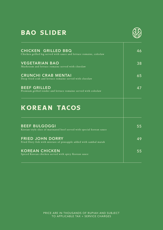#### BAO SLIDER



| <b>CHICKEN GRILLED BBQ</b><br>Chicken grilled leg served with sauce and lettuce romaine, coleslaw | 46 |
|---------------------------------------------------------------------------------------------------|----|
| <b>VEGETARIAN BAO</b><br>Mushroom and lettuce romaine served with cloeslaw                        | 38 |
| <b>CRUNCHI CRAB MENTAI</b><br>Deep fried crab and lettuce romaine served with cloeslaw            | 65 |
| <b>BEEF GRILLED</b><br>Premium grilled tender and lettuce romaine served with coleslaw            | 47 |
| <b>KOREAN TACOS</b>                                                                               |    |
| <b>BEEF BULGOGGI</b><br>Korean-style slice of marinated beef served with special korean sauce     | 55 |
| <b>FRIED JOHN DORRY</b><br>Fried Dory fish with mixture of pineapple added with sambal matah      | 49 |
| <b>KOREAN CHICKEN</b><br>Spiced Korean chicken served with spicy Korean sauce                     | 55 |
|                                                                                                   |    |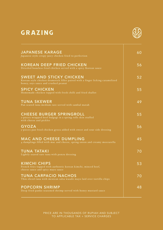#### GRAZING



| <b>JAPANESE KARAGE</b><br>Japanese style crispy juicy chicken fried to perfection                                                                         | 60 |
|-----------------------------------------------------------------------------------------------------------------------------------------------------------|----|
| <b>KOREAN DEEP FRIED CHICKEN</b><br>Drizzled boneless fried chicken served with a spicy Korean sauce                                                      | 56 |
| <b>SWEET AND STICKY CHICKEN</b><br>Korean style chicken drumstick fillet paired with a finger licking caramelized<br>honey, soys sauce and crushed peanut | 52 |
| <b>SPICY CHICKEN</b><br>Homemade chicken topped with fresh chilli and fried shallot                                                                       | 55 |
| <b>TUNA SKEWER</b><br>Pan seared tuna medium rare served with sambal matah                                                                                | 49 |
| <b>CHEESE BURGER SPRINGROLL</b><br>2-pieces wrapped beef bulgogi in a spring rolls skin stuffed<br>with cheese and pickles                                | 55 |
| <b>GYOZA</b><br>5-pieces pan fried chicken gyoza added with sweet and sour side dressing                                                                  | 56 |
| <b>MAC AND CHEESE DUMPLING</b><br>4 dumplings filled with mac and cheese, spring onion and creamy mozzarella                                              | 45 |
| <b>TUNA TATAKI</b><br>Lightly seared rare tuna with ponzu dressing                                                                                        | 70 |
| <b>KIMCHI CHIPS</b><br>French fries topped with authentic korean kimchi, minced beef,<br>cheese sauce and spicy mayo sauce                                | 53 |
| <b>TUNA CARPACIO NACHOS</b><br>Thin sliced tuna with mexican salsa wasabi mayo laid over tortilla chips                                                   | 70 |
| <b>POPCORN SHRIMP</b><br>Deep fried panko seasoned shrimp served with honey mustard sauce                                                                 | 48 |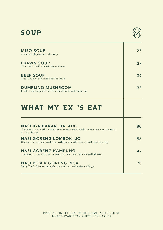# SOUP



| <b>MISO SOUP</b><br>Authentic Japanese style soup                                                                       | 25 |
|-------------------------------------------------------------------------------------------------------------------------|----|
| <b>PRAWN SOUP</b><br>Clear broth added with Tiger Prawn                                                                 | 37 |
| <b>BEEF SOUP</b><br>Clear soup added with roasted Beef                                                                  | 39 |
| <b>DUMPLING MUSHROOM</b><br>Fresh clear soup served with mushroom and dumpling                                          | 35 |
| WHAT MY EX 'S EAT                                                                                                       |    |
| NASI IGA BAKAR BALADO<br>Traditional red chilli cooked tender rib served with steamed rice and sauteed<br>white cabbage | 80 |
| <b>NASI GORENG LOMBOK IJO</b><br>Classic Indonesian fried rice with green chilli served with grilled satay              | 56 |
| <b>NASI GORENG KAMPUNG</b><br>Traditional Javanesse authentic fried rice served with grilled satay                      | 47 |
| <b>NASI BEBEK GORENG RICA</b><br>Spicy Duck fries serve with rice and sauteed white cabbage                             | 70 |
|                                                                                                                         |    |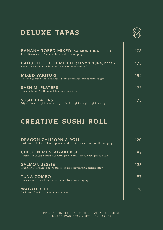#### DELUXE TAPAS



| <b>BANANA TOPED MIXED (SALMON, TUNA, BEEF)</b><br>Fried Banana with Salmon, Tuna and Beef topping's          | 178 |
|--------------------------------------------------------------------------------------------------------------|-----|
| <b>BAQUETE TOPED MIXED (SALMON, TUNA, BEEF)</b><br>Baquette served with Salmon, Tuna and Beef topping's      | 178 |
| <b>MIXED YAKITORI</b><br>Chicken yakitori, Beef yakitori, Seafood yakitori mixed with veggie                 | 154 |
| <b>SASHIMI PLATERS</b><br>Tuna, Salmon, Scallop, and Beef medium rare                                        | 175 |
| <b>SUSHI PLATERS</b><br>Nigiri Tuna, Nigiri Salmon, Nigiri Beef, Nigiri Unagi, Nigiri Scallop                | 175 |
| <b>CREATIVE SUSHI ROLL</b>                                                                                   |     |
|                                                                                                              |     |
| <b>DRAGON CALIFORNIA ROLL</b><br>Sushi roll filled with kyuri, prawn, crab stick, avocado and tobiko topping | 120 |
| <b>CHICKEN MENTAIYAKI ROLL</b><br>Classic Indonesian fried rice with green chilli served with grilled satay  | 98  |
| <b>SALMON JESSIE</b><br>Traditional Javanesse authentic fried rice served with grilled satay                 | 135 |
| <b>TUNA COMBO</b><br>Tuna sushi roll with tobiko salsa and fresh tuna toping                                 | 97  |
| <b>WAGYU BEEF</b><br>Sushi roll filled with mediumrare beef                                                  | 120 |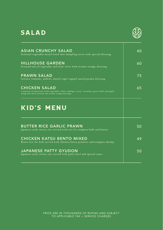#### SALAD



| 40              |
|-----------------|
|                 |
| 60              |
| 75              |
| 65              |
|                 |
| 50 <sub>1</sub> |
| 49              |
| 50              |
|                 |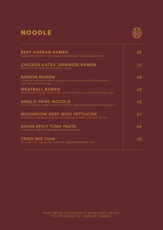#### NOODLE



| <b>BEEF KOREAN RAMEN</b><br>Ramen with Korean style topped roll with beef Gyochujang brooth                              | 85 |
|--------------------------------------------------------------------------------------------------------------------------|----|
| <b>CHICKEN KATSU JAPANESE RAMEN</b><br>Ramen served with chicken katsu on top                                            | 75 |
| <b>RAWON RAMEN</b><br>Authentic indonesian black soup served with pasta noodle slice grilled<br>beef and soft boiled egg | 68 |
| <b>MEATBALL RAMEN</b><br>Special pasta noodle ramen soup served with juicy meatball and boiled egg                       | 68 |
| <b>ANGLO FRIED NOODLE</b><br>Classic javanese noodle cooked with local vegetable and mixed savory spices                 | 48 |
| <b>MUSHROOM BEEF MISO FETTUCINE</b><br>Sauted beef and mushroom served with pasta noodle and miso brooth                 | 87 |
| <b>ASIAN SPICY TUNA PASTA</b><br>Fresh tuna cooked with sambal matah and pasta                                           | 89 |
| <b>FRIED MIE TIAW</b><br>An asian style sauted mie tiaw with vegetable and beef slice                                    | 60 |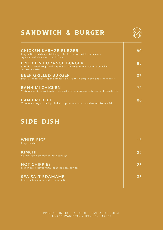# SANDWICH & BURGER



| <b>CHICKEN KARAGE BURGER</b><br>Burger filled with special karage chicken served with katsu sauce,<br>japanese coleslaw and french fries | 80 |
|------------------------------------------------------------------------------------------------------------------------------------------|----|
| <b>FRIED FISH ORANGE BURGER</b><br>John dory fried crispy fish topped with orange sauce japanese coleslaw<br>and french fries            | 85 |
| <b>BEEF GRILLED BURGER</b><br>Special tender beef topped mozarela filled in to burger bun and french fries                               | 87 |
| <b>BANH MI CHICKEN</b><br>Vietnamese style sandwich filled with grilled chicken, coleslaw and french fries                               | 78 |
| <b>BANH MI BEEF</b><br>Vietnamese style filled grilled slice premium beef, coleslaw and french fries                                     | 80 |
| <b>SIDE DISH</b>                                                                                                                         |    |
| <b>WHITE RICE</b><br>Fragrant rice                                                                                                       | 15 |
| <b>KIMCHI</b><br>Korean spicy pickled chinese cabbage                                                                                    | 25 |
| <b>HOT CHIPPIES</b><br>French fries served with Japanese chili powder                                                                    | 25 |
| <b>SEA SALT EDAMAME</b><br>Blanch edamame mixed with seasalt                                                                             | 35 |
|                                                                                                                                          |    |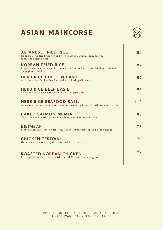# ASIAN MAINCORSE



| <b>JAPANESE FRIED RICE</b><br>Japanese style fried rice topped with seafood salmon, tuna, prawn,<br>tobiko and sliced nori       | 85  |
|----------------------------------------------------------------------------------------------------------------------------------|-----|
| <b>KOREAN FRIED RICE</b><br>Fragrant rice sauted with Gochujang paste served with soft fried egg, kimchi,<br>bulgogi and chicken | 87  |
| <b>HERB RICE CHICKEN BASIL</b><br>An asian style chicken basil served with herb garlic rice                                      | 86  |
| <b>HERB RICE BEEF BASIL</b><br>An asian style beef basil served with herb garlic rice                                            | 95  |
| <b>HERB RICE SEAFOOD BASIL</b><br>An asian style seafood prawn, salmon, tuna served topped with herb garlic rice                 | 112 |
| <b>BAKED SALMON MENTAL</b><br>Nori rice mixed with Norwegian salmon and mentaiyaki sauce                                         | 95  |
| <b>BIBIMBAP</b><br>Sauted vegetable served with rice, kimchi, sunny side up and beef bulgogi                                     | 75  |
| <b>CHICKEN TERIYAKI</b><br>Homemade chicken teriyaki served with rice and salad                                                  | 70  |
| <b>ROASTED KOREAN CHICKEN</b><br>Roasted chicken marinated with special Korean Gochujang sauce                                   | 98  |
|                                                                                                                                  |     |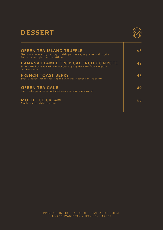#### DESSERT



| <b>GREEN TEA ISLAND TRUFFLE</b><br>Green tea creamé angles topped with green tea sponge cake and tropical<br>fruit compote glaze with truffle oil | 65 |
|---------------------------------------------------------------------------------------------------------------------------------------------------|----|
| <b>BANANA FLAMBE TROPICAL FRUIT COMPOTE</b><br>Sauted fried banana with caramel glaze springkles with fruit compote<br>and ice cream              | 49 |
| <b>FRENCH TOAST BERRY</b><br>Special baked french toast topped with Berry sauce and ice cream                                                     | 48 |
| <b>GREEN TEA CAKE</b><br>Short cake greentea served with sauce caramel and garnish                                                                | 49 |
| <b>MOCHI ICE CREAM</b><br>Mochi served with ice cream                                                                                             | 65 |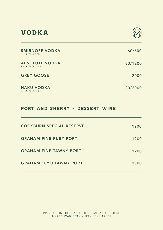#### VODKA



ℸ

| <b>SMIRNOFF VODKA</b><br>SHOT/BOTTLE  | 60/600   |
|---------------------------------------|----------|
| <b>ABSOLUTE VODKA</b><br>SHOT/BOTTLE  | 80/1200  |
| <b>GREY GOOSE</b>                     | 2000     |
| <b>HAKU VODKA</b><br>SHOT/BOTTLE      | 120/2000 |
| <b>PORT AND SHERRY - DESSERT WINE</b> |          |
| <b>COCKBURN SPECIAL RESERVE</b>       | 1200     |
| <b>GRAHAM FINE RUBY PORT</b>          | 1200     |
| <b>GRAHAM FINE TAWNY PORT</b>         | 1200     |
| <b>GRAHAM 10YO TAWNY PORT</b>         | 1800     |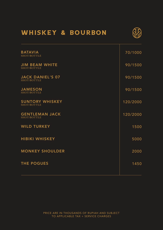#### WHISKEY & BOURBON



| <b>BATAVIA</b><br>SHOT/BOTTLE          | 70/1000  |
|----------------------------------------|----------|
| <b>JIM BEAM WHITE</b><br>SHOT/BOTTLE   | 90/1500  |
| <b>JACK DANIEL'S 07</b><br>SHOT/BOTTLE | 90/1500  |
| <b>JAMESON</b><br>SHOT/BOTTLE          | 90/1500  |
| <b>SUNTORY WHISKEY</b><br>SHOT/BOTTLE  | 120/2000 |
| <b>GENTLEMAN JACK</b><br>SHOT/BOTTLE   | 120/2000 |
| <b>WILD TURKEY</b>                     | 1500     |
| <b>HIBIKI WHISKEY</b>                  | 5000     |
| <b>MONKEY SHOULDER</b>                 | 2000     |
| <b>THE POGUES</b>                      | 1450     |
|                                        |          |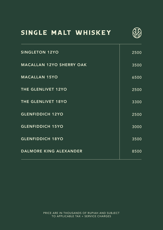#### SINGLE MALT WHISKEY



| <b>SINGLETON 12YO</b>           | 2500 |
|---------------------------------|------|
| <b>MACALLAN 12YO SHERRY OAK</b> | 3500 |
| <b>MACALLAN 15YO</b>            | 6500 |
| THE GLENLIVET 12YO              | 2500 |
| THE GLENLIVET 18YO              | 3300 |
| <b>GLENFIDDICH 12YO</b>         | 2500 |
| <b>GLENFIDDICH 15YO</b>         | 3000 |
| <b>GLENFIDDICH 18YO</b>         | 3500 |
| DALMORE KING ALEXANDER          | 8500 |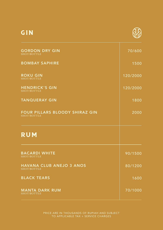# GIN



| <b>GORDON DRY GIN</b><br>SHOT/BOTTLE          | 70/600   |
|-----------------------------------------------|----------|
| <b>BOMBAY SAPHIRE</b>                         | 1500     |
| <b>ROKU GIN</b><br>SHOT/BOTTLE                | 120/2000 |
| <b>HENDRICK'S GIN</b><br>SHOT/BOTTLE          | 120/2000 |
| <b>TANQUERAY GIN</b>                          | 1800     |
| FOUR PILLARS BLOODY SHIRAZ GIN<br>SHOT/BOTTLE | 2000     |
| <b>RUM</b>                                    |          |
| <b>BACARDI WHITE</b><br>SHOT/BOTTLE           | 90/1500  |
| HAVANA CLUB ANEJO 3 ANOS<br>SHOT/BOTTLE       | 80/1200  |
| <b>BLACK TEARS</b>                            | 1600     |
| <b>MANTA DARK RUM</b><br>SHOT/BOTTLE          | 70/1000  |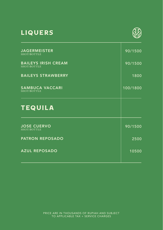# LIQUERS



| <b>JAGERMEISTER</b><br>SHOT/BOTTLE        | 90/1500  |
|-------------------------------------------|----------|
| <b>BAILEYS IRISH CREAM</b><br>SHOT/BOTTLE | 90/1500  |
| <b>BAILEYS STRAWBERRY</b>                 | 1800     |
| <b>SAMBUCA VACCARI</b><br>SHOT/BOTTLE     | 100/1800 |
| <b>TEQUILA</b>                            |          |
|                                           |          |
| <b>JOSE CUERVO</b><br>SHOT/BOTTLE         | 90/1500  |
| <b>PATRON REPOSADO</b>                    | 2500     |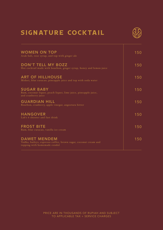# SIGNATURE COCKTAIL



| WOMEN ON TOP<br>Arak bali, rose syrup, and top with ginger ale                                                         | 150 |
|------------------------------------------------------------------------------------------------------------------------|-----|
| DON'T TELL MY BOZZ<br>Hot cocktail made with bourbon, ginger syrup, honey and lemon juice                              | 150 |
| <b>ART OF HILLHOUSE</b><br>Midori, blue curacao, pineapple juice and top with soda water                               | 150 |
| <b>SUGAR BABY</b><br>Rum, coconut liquer, peach liquer, lime juice, pineapple juice,<br>and cranberry juice            | 150 |
| <b>GUARDIAN HILL</b><br>Bourbon, cranberry, apple vinegar, angostura bitter                                            | 150 |
| <b>HANGOVER</b><br>Lab's 6 shooter and fast drink                                                                      | 150 |
| <b>FROST BITE</b><br>Rum, blue curacao, vanilla ice cream                                                              | 150 |
| <b>DAWET MENDEM</b><br>Vodka, baileys, espresso coffee, brown sugar, coconut cream and<br>topping with homemade cendol | 150 |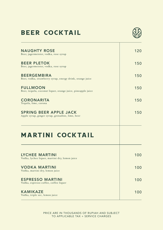# BEER COCKTAIL



| <b>NAUGHTY ROSE</b><br>Beer, jagermeister, vodka, rose syrup                      | 120 |
|-----------------------------------------------------------------------------------|-----|
| <b>BEER PLETOK</b><br>Beer, jagermeister, vodka, rose syrup                       | 150 |
| <b>BEERGEMBIRA</b><br>Beer, vodka, strawberry syrup, energy drink, orange juice   | 150 |
| <b>FULLMOON</b><br>Beer, tequila, coconut liquer, orange juice, pineapple juice   | 150 |
| <b>CORONARITA</b><br>Tequila, lime, corona                                        | 150 |
| <b>SPRING BEER APPLE JACK</b><br>Apple syrup, ginger syrup, grenadine, lime, beer | 150 |
| <b>MARTINI COCKTAIL</b>                                                           |     |
| <b>LYCHEE MARTINI</b><br>Vodka, lychee liquer, martini dry, lemon juice           | 100 |
| <b>VODKA MARTINI</b><br>Vodka, martini dry, lemon juice                           | 100 |
| <b>ESPRESSO MARTINI</b><br>Vodka, espresso coffee, coffee liquer                  | 100 |
| <b>KAMIKAZE</b><br>Vodka, triple sec, lemon juice                                 | 100 |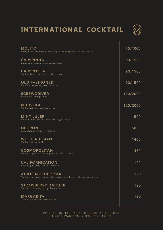# INTERNATIONAL COCKTAIL



| <b>MOJITO</b><br>Rum, mint leaf, lemon juice, sugar and topping with soda water                   | 70/1000  |
|---------------------------------------------------------------------------------------------------|----------|
| <b>CAIPIRINHA</b><br>Rum, lime, lemon juice, brown sugar                                          | 90/1500  |
| <b>CAIPIROSCA</b><br>Vodka, lime, lemon juice, white sugar                                        | 90/1500  |
| <b>OLD FASHIONED</b><br>Bourbon, sugar angusturra bitter                                          | 90/1500  |
| <b>SCREWDRIVER</b><br>Vodka and orange juice                                                      | 120/2000 |
| <b>MUDSLIDE</b><br>Vodka, baileys, oreo, ice cream                                                | 120/2000 |
| <b>MINT JULEP</b><br>Boubon, mint leave, angostura, sugar syrup                                   | 1500     |
| <b>NEGRONI</b><br>Gin, campari, sweet vermouth                                                    | 5000     |
| <b>WHITE RUSSIAN</b><br>Vodka, kalilua, milk                                                      | 1400     |
| <b>COSMOPOLITAN</b><br>Vodka, tripel sec, lemon juice, cranberry juice                            | 1450     |
| <b>CALIFORNICATION</b><br>Vodka, gin, rum, tequila, lemon, OJ                                     | 120      |
| <b>ADIOS MOTHER XXX</b><br>Vodka, gin, rum, tequila, blue curacao, midori, triple sec, sweet sour | 120      |
| <b>STRAWBERRY DAIQUIRI</b><br>Vodka, strawberry syrup, lemon juice                                | 120      |
| <b>MARGARITA</b><br>Tequila, triple sec, lemon juice                                              | 120      |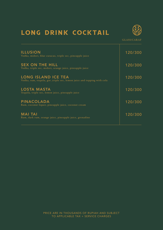# LONG DRINK COCKTAIL



GLASS/CARAF

| <b>ILLUSION</b><br>Vodka, midori, blue curacao, triple sec, pineapple juice                            | 120/300 |
|--------------------------------------------------------------------------------------------------------|---------|
| <b>SEX ON THE HILL</b><br>Vodka, triple sec, midori, orange juice, pineapple juice                     | 120/300 |
| <b>LONG ISLAND ICE TEA</b><br>Vodka, rum, tequila, gin , triple sec, lemon juice and topping with cola | 120/300 |
| <b>LOSTA MASTA</b><br>Tequila, triple sec, lemon juice, pineapple juice                                | 120/300 |
| <b>PINACOLADA</b><br>Rum, coconut liquer, pineapple juice, coconut cream                               | 120/300 |
| <b>MAI TAI</b><br>Rum, dark rum, orange juice, pineapple juice, grenadine                              | 120/300 |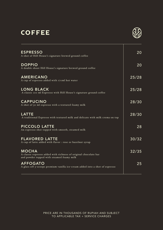# **COFFEE**



| <b>ESPRESSO</b><br>A shot of Hill House's signature brewed ground coffee                                                      | $\overline{20}$ |
|-------------------------------------------------------------------------------------------------------------------------------|-----------------|
| <b>DOPPIO</b><br>A double shoot Hill House's signature brewed ground coffee                                                   | 20              |
| AMERICANO<br>A cup of espresso added with 170ml hot water                                                                     | 25/28           |
| <b>LONG BLACK</b><br>A classic 210 ml Espresso with Hill House's signature ground coffee                                      | 25/28           |
| <b>CAPPUCINO</b><br>A shot of 30 ml espresso with a textured foamy milk                                                       | $\sqrt{28/30}$  |
| <b>LATTE</b><br>A traditional Espresso with textured milk and delicate with milk crema on top                                 | 28/30           |
| PICCOLO LATTE<br>An espresso shot topped with smooth, steamed milk                                                            | 28              |
| <b>FLAVORED LATTE</b><br>A cup of latte added with flavor : rose or hazelnut syrup                                            | 30/32           |
| <b>MOCHA</b><br>A classic espresso added with richness of original chocolate bar<br>and powder topped with steamed foamy milk | 32/35           |
| <b>AFFOGATO</b><br>A glass off 3-scoops premium vanilla ice-cream added into a shot of espresso                               | $2\overline{5}$ |
|                                                                                                                               |                 |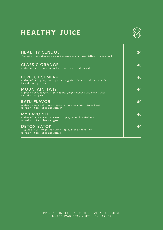# HEALTHY JUICE



| <b>HEALTHY CENDOL</b><br>A glass of pure almond, soy, and organic brown sugar, filled with seaweed                         | 30 |
|----------------------------------------------------------------------------------------------------------------------------|----|
| <b>CLASSIC ORANGE</b><br>A glass of pure orange served with ice cubes and garnish                                          | 40 |
| <b>PERFECT SEMERU</b><br>A glass of pure pear, pineapple, & tangerine blended and served with<br>ice cube and garnish      | 40 |
| <b>MOUNTAIN TWIST</b><br>A glass of pure tangerine, pineapple, ginger blended and served with<br>ice cubes and garnish     | 40 |
| <b>BATU FLAVOR</b><br>A glass of pure watermelon, apple, strawberry, mint blended and<br>served with ice cubes and garnish | 40 |
| <b>MY FAVORITE</b><br>A glass of pure tangerine, carrot, apple, lemon blended and<br>served with ice cubes and garnish     | 40 |
| <b>DETOX BATOK</b><br>A glass of pure tangerine carrot, apple, pear blended and<br>served with ice cubes and garnis        | 40 |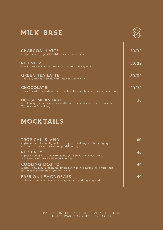## MILK BASE



| 30/32 |
|-------|
| 30/32 |
| 30/32 |
| 30/32 |
| 30    |
|       |
| 40    |
| 40    |
| 40    |
| 40    |
|       |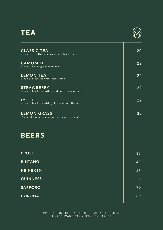#### TEA



| <b>CLASSIC TEA</b><br>A cup of Hill House' chosen local black tea        | 20 |
|--------------------------------------------------------------------------|----|
| <b>CAMOMILE</b><br>A cup of calming camomile tea                         | 22 |
| <b>LEMON TEA</b><br>A cup of black tea with fresh lemon                  | 22 |
| <b>STRAWBERRY</b><br>A cup of black tea with strawberry fruit and flavor | 22 |
| <b>LYCHEE</b><br>A cup of black tea with lychee fruit and flavor         | 22 |
| <b>LEMON GRASS</b><br>A cup of honey, lemon, ginger, lemongrass and tea  | 30 |
| <b>BEERS</b>                                                             |    |
| <b>PROST</b>                                                             | 35 |
| <b>BINTANG</b>                                                           | 40 |
| <b>HEINEKEN</b>                                                          | 45 |
| <b>GUINNESS</b>                                                          | 50 |
| <b>SAPPORO</b>                                                           | 70 |
| <b>CORONA</b>                                                            | 80 |
|                                                                          |    |